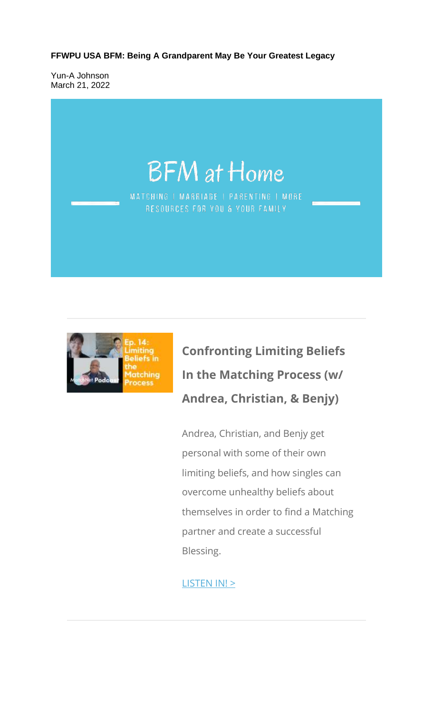**FFWPU USA BFM: Being A Grandparent May Be Your Greatest Legacy**

Yun-A Johnson March 21, 2022





# **Confronting Limiting Beliefs In the Matching Process (w/ Andrea, Christian, & Benjy)**

Andrea, Christian, and Benjy get personal with some of their own limiting beliefs, and how singles can overcome unhealthy beliefs about themselves in order to find a Matching partner and create a successful Blessing.

#### LISTEN IN! >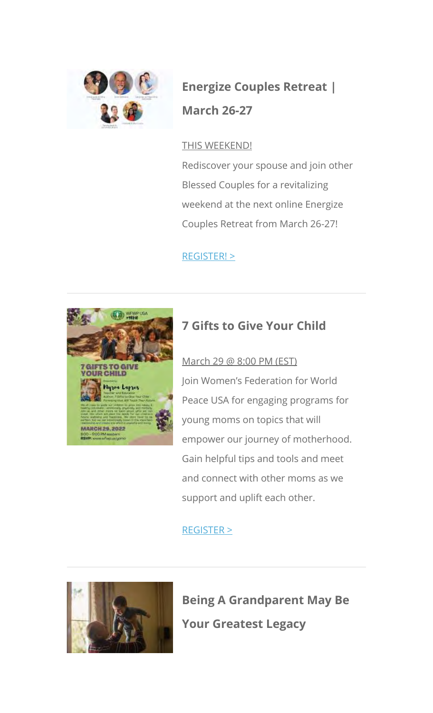

## **Energize Couples Retreat | March 26-27**

#### THIS WEEKEND!

Rediscover your spouse and join other Blessed Couples for a revitalizing weekend at the next online Energize Couples Retreat from March 26-27!

REGISTER! >



### **7 Gifts to Give Your Child**

March 29 @ 8:00 PM (EST) Join Women's Federation for World Peace USA for engaging programs for young moms on topics that will empower our journey of motherhood. Gain helpful tips and tools and meet and connect with other moms as we support and uplift each other.

### REGISTER >



**Being A Grandparent May Be Your Greatest Legacy**